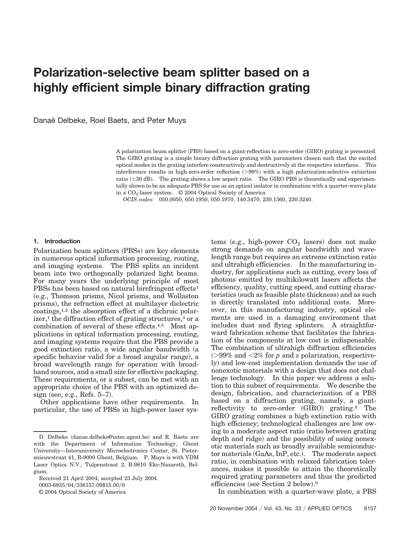# **Polarization-selective beam splitter based on a highly efficient simple binary diffraction grating**

Danaë Delbeke, Roel Baets, and Peter Muys

A polarization beam splitter (PBS) based on a giant-reflection to zero-order (GIRO) grating is presented. The GIRO grating is a simple binary diffraction grating with parameters chosen such that the excited optical modes in the grating interfere constructively and destructively at the respective interfaces. This interference results in high-zero-order reflection  $(>99%)$  with a high polarization-selective extinction ratio  $(\pm 30 \text{ dB})$ . The grating shows a low aspect ratio. The GIRO PBS is theoretically and experimentally shown to be an adequate PBS for use as an optical isolator in combination with a quarter-wave plate in a  $CO<sub>2</sub>$ -laser system.  $© 2004 Optical Society of America$ 

*OCIS codes:* 050.0050, 050.1950, 050.1970, 140.3470, 230.1360, 230.3240.

## **1. Introduction**

Polarization beam splitters (PBSs) are key elements in numerous optical information processing, routing, and imaging systems. The PBS splits an incident beam into two orthogonally polarized light beams. For many years the underlying principle of most PBSs has been based on natural birefringent effects<sup>1</sup> e.g., Thomson prisms, Nicol prisms, and Wollaston prisms), the refraction effect at multilayer dielectric coatings,1,2 the absorption effect of a dichroic polarizer,<sup>1</sup> the diffraction effect of grating structures, $3$  or a combination of several of these effects.4,5 Most applications in optical information processing, routing, and imaging systems require that the PBS provide a good extinction ratio, a wide angular bandwidth (a specific behavior valid for a broad angular range), a broad wavelength range for operation with broadband sources, and a small size for effective packaging. These requirements, or a subset, can be met with an appropriate choice of the PBS with an optimized design (see, e.g., Refs.  $5-7$ ).

Other applications have other requirements. In particular, the use of PBSs in high-power laser sys-

0003-6935/04/336157-09\$15.00/0

© 2004 Optical Society of America

 $tems$  (e.g., high-power  $CO<sub>2</sub>$  lasers) does not make strong demands on angular bandwidth and wavelength range but requires an extreme extinction ratio and ultrahigh efficiencies. In the manufacturing industry, for applications such as cutting, every loss of photons emitted by multikilowatt lasers affects the efficiency, quality, cutting speed, and cutting characteristics (such as feasible plate thickness) and as such is directly translated into additional costs. Moreover, in this manufacturing industry, optical elements are used in a damaging environment that includes dust and flying splinters. A straightforward fabrication scheme that facilitates the fabrication of the components at low cost is indispensable. The combination of ultrahigh diffraction efficiencies 99% and 2% for *p* and *s* polarization, respectively) and low-cost implementation demands the use of nonexotic materials with a design that does not challenge technology. In this paper we address a solution to this subset of requirements. We describe the design, fabrication, and characterization of a PBS based on a diffraction grating, namely, a giantreflectivity to zero-order (GIRO) grating.<sup>8</sup> The GIRO grating combines a high extinction ratio with high efficiency; technological challenges are low owing to a moderate aspect ratio (ratio between grating depth and ridge) and the possibility of using nonexotic materials such as broadly available semiconductor materials (GaAs, InP, etc.). The moderate aspect ratio, in combination with relaxed fabrication tolerances, makes it possible to attain the theoretically required grating parameters and thus the predicted efficiencies (see Section 2 below).<sup>9</sup>

In combination with a quarter-wave plate, a PBS

D. Delbeke (danae.delbeke@intec.ugent.be) and R. Baets are with the Department of Information Technology, Ghent University—Interuniversity Microelectronics Center, St. Pietersnieuwstraat 41, B-9000 Ghent, Belgium. P. Muys is with VDM Laser Optics N.V., Tulpenstraat 2, B-9810 Eke-Nazareth, Belgium.

Received 21 April 2004; accepted 23 July 2004.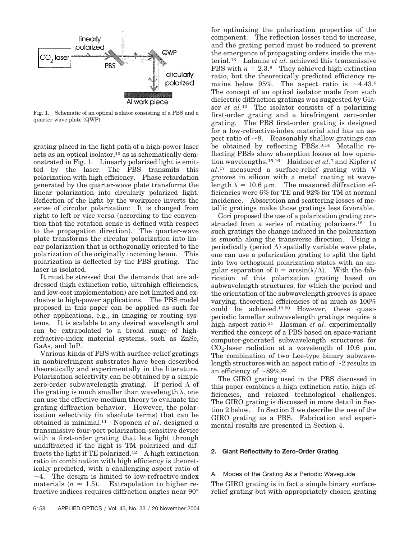

Fig. 1. Schematic of an optical isolator consisting of a PBS and a quarter-wave plate (QWP).

grating placed in the light path of a high-power laser acts as an optical isolator,10 as is schematically demonstrated in Fig. 1. Linearly polarized light is emitted by the laser. The PBS transmits this polarization with high efficiency. Phase retardation generated by the quarter-wave plate transforms the linear polarization into circularly polarized light. Reflection of the light by the workpiece inverts the sense of circular polarization: It is changed from right to left or vice versa (according to the convention that the rotation sense is defined with respect to the propagation direction). The quarter-wave plate transforms the circular polarization into linear polarization that is orthogonally oriented to the polarization of the originally incoming beam. This polarization is deflected by the PBS grating. The laser is isolated.

It must be stressed that the demands that are addressed high extinction ratio, ultrahigh efficiencies, and low-cost implementation) are not limited and exclusive to high-power applications. The PBS model proposed in this paper can be applied as such for other applications, e.g., in imaging or routing systems. It is scalable to any desired wavelength and can be extrapolated to a broad range of highrefractive-index material systems, such as ZnSe, GaAs, and InP.

Various kinds of PBS with surface-relief gratings in nonbirefringent substrates have been described theoretically and experimentally in the literature. Polarization selectivity can be obtained by a simple zero-order subwavelength grating. If period  $\Lambda$  of the grating is much smaller than wavelength  $\lambda$ , one can use the effective-medium theory to evaluate the grating diffraction behavior. However, the polarization selectivity (in absolute terms) that can be obtained is minimal.11 Noponen *et al*. designed a transmissive four-port polarization-sensitive device with a first-order grating that lets light through undiffracted if the light is TM polarized and diffracts the light if TE polarized.<sup>12</sup> A high extinction ratio in combination with high efficiency is theoretically predicted, with a challenging aspect ratio of  $\sim$ 4. The design is limited to low-refractive-index materials  $(n \approx 1.5)$ . Extrapolation to higher refractive indices requires diffraction angles near 90°

for optimizing the polarization properties of the component. The reflection losses tend to increase, and the grating period must be reduced to prevent the emergence of propagating orders inside the material.13 Lalanne *et al*. achieved this transmissive PBS with  $n = 2.3$ .<sup>6</sup> They achieved high extinction ratio, but the theoretically predicted efficiency remains below 95%. The aspect ratio is  $\sim$ 4.43.6 The concept of an optical isolator made from such dielectric diffraction gratings was suggested by Glaser *et al*.10 The isolator consists of a polarizing first-order grating and a birefringent zero-order grating. The PBS first-order grating is designed for a low-refractive-index material and has an aspect ratio of  $\sim$ 8. Reasonably shallow gratings can be obtained by reflecting PBSs.3,14 Metallic reflecting PBSs show absorption losses at low operation wavelengths.15,16 Haidner *et al*.7 and Kipfer *et al*.17 measured a surface-relief grating with V grooves in silicon with a metal coating at wavelength  $\lambda = 10.6 \mu m$ . The measured diffraction efficiencies were 6% for TE and 92% for TM at normal incidence. Absorption and scattering losses of metallic gratings make those gratings less favorable.

Gori proposed the use of a polarization grating constructed from a series of rotating polarizers.<sup>18</sup> In such gratings the change induced in the polarization is smooth along the transverse direction. Using a periodically (period  $\Lambda$ ) spatially variable wave plate, one can use a polarization grating to split the light into two orthogonal polarization states with an angular separation of  $\theta = \arcsin(\lambda/\Lambda)$ . With the fabrication of this polarization grating based on subwavelength structures, for which the period and the orientation of the subwavelength grooves is space varying, theoretical efficiencies of as much as 100% could be achieved.19,20 However, these quasiperiodic lamellar subwavelength gratings require a high aspect ratio.21 Hasman *et al*. experimentally verified the concept of a PBS based on space-variant computer-generated subwavelength structures for  $CO<sub>2</sub>$ -laser radiation at a wavelength of 10.6  $\mu$ m. The combination of two Lee-type binary subwavelength structures with an aspect ratio of  $\sim$ 2 results in an efficiency of  $\sim$ 89%.<sup>22</sup>

The GIRO grating used in the PBS discussed in this paper combines a high extinction ratio, high efficiencies, and relaxed technological challenges. The GIRO grating is discussed in more detail in Section 2 below. In Section 3 we describe the use of the GIRO grating as a PBS. Fabrication and experimental results are presented in Section 4.

## **2. Giant Reflectivity to Zero-Order Grating**

# A. Modes of the Grating As a Periodic Waveguide

The GIRO grating is in fact a simple binary surfacerelief grating but with appropriately chosen grating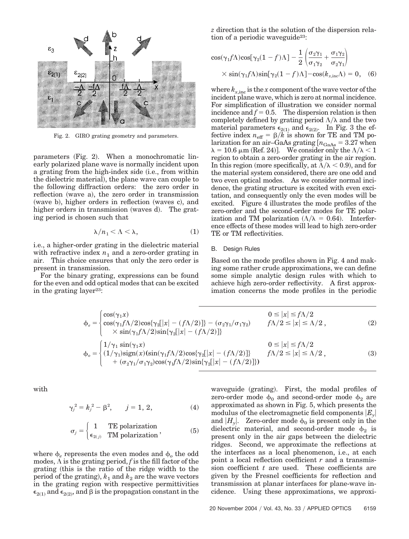

Fig. 2. GIRO grating geometry and parameters.

parameters (Fig. 2). When a monochromatic linearly polarized plane wave is normally incident upon a grating from the high-index side (i.e., from within the dielectric material), the plane wave can couple to the following diffraction orders: the zero order in reflection (wave a), the zero order in transmission (wave b), higher orders in reflection (waves c), and higher orders in transmission (waves d). The grating period is chosen such that

$$
\lambda/n_1 < \Lambda < \lambda,\tag{1}
$$

i.e., a higher-order grating in the dielectric material with refractive index  $n_1$  and a zero-order grating in air. This choice ensures that only the zero order is present in transmission.

For the binary grating, expressions can be found for the even and odd optical modes that can be excited in the grating layer<sup>23</sup>:

*z* direction that is the solution of the dispersion relation of a periodic waveguide<sup>23</sup>:

$$
\cos(\gamma_1 f \Lambda) \cos[\gamma_2 (1 - f) \Lambda] - \frac{1}{2} \left( \frac{\sigma_2 \gamma_1}{\sigma_1 \gamma_2} + \frac{\sigma_1 \gamma_2}{\sigma_2 \gamma_1} \right)
$$
  
 
$$
\times \sin(\gamma_1 f \Lambda) \sin[\gamma_2 (1 - f) \Lambda] - \cos(k_{x, \text{inc}} \Lambda) = 0, \quad (6)
$$

where  $k_{x, \text{inc}}$  is the *x* component of the wave vector of the incident plane wave, which is zero at normal incidence. For simplification of illustration we consider normal incidence and  $f = 0.5$ . The dispersion relation is then completely defined by grating period  $\Lambda/\lambda$  and the two material parameters  $\epsilon_{2(1)}$  and  $\epsilon_{2(2)}$ . In Fig. 3 the effective index  $n_{\text{eff}} = \beta / \overline{k}$  is shown for TE and TM polarization for an air–GaAs grating  $[n_{\rm GaAs} = 3.27$  when  $\lambda = 10.6 \,\mathrm{\upmu m} \, (\mathrm{Ref.} \, 24)$ . We consider only the  $\Lambda/\lambda < 1$ region to obtain a zero-order grating in the air region. In this region (more specifically, at  $\Lambda/\lambda < 0.9$ ), and for the material system considered, there are one odd and two even optical modes. As we consider normal incidence, the grating structure is excited with even excitation, and consequently only the even modes will be excited. Figure 4 illustrates the mode profiles of the zero-order and the second-order modes for TE polarization and TM polarization ( $\Lambda/\lambda = 0.64$ ). Interference effects of these modes will lead to high zero-order TE or TM reflectivities.

## B. Design Rules

Based on the mode profiles shown in Fig. 4 and making some rather crude approximations, we can define some simple analytic design rules with which to achieve high zero-order reflectivity. A first approximation concerns the mode profiles in the periodic

$$
\phi_e = \begin{cases}\n\cos(\gamma_1 x) & 0 \le |x| \le f\Lambda/2 \\
\cos(\gamma_1 f\Lambda/2)\cos\{\gamma_2[[x] - (f\Lambda/2)]\} - (\sigma_2 \gamma_1/\sigma_1 \gamma_2) & f\Lambda/2 \le |x| \le \Lambda/2, \\
\times \sin(\gamma_1 f\Lambda/2)\sin\{\gamma_2[[x] - (f\Lambda/2)]\} & 0 \le |x| \le f\Lambda/2, \\
\downarrow 0 & 0 \le |x| \le f\Lambda/2 \\
\phi_o = \begin{cases}\n1/\gamma_1 \sin(\gamma_1 x) & 0 \le |x| \le f\Lambda/2 \\
(1/\gamma_1)\sin(\gamma_1 x)(\sin(\gamma_1 f\Lambda/2)\cos\{\gamma_2[[x] - (f\Lambda/2)]\} & f\Lambda/2 \le |x| \le \Lambda/2, \\
+ (\sigma_2 \gamma_1/\sigma_1 \gamma_2)\cos(\gamma_1 f\Lambda/2)\sin\{\gamma_2[[x] - (f\Lambda/2)]\}\n\end{cases}\n\end{cases}
$$
\n(3)

with

$$
\gamma_j^2 = k_j^2 - \beta^2, \qquad j = 1, 2, \tag{4}
$$

$$
\sigma_j = \begin{cases} 1 & \text{TE polarization} \\ \epsilon_{2(j)} & \text{TM polarization} \end{cases}
$$
 (5)

where  $\phi$  represents the even modes and  $\phi$  the odd modes,  $\Lambda$  is the grating period,  $f$  is the fill factor of the grating (this is the ratio of the ridge width to the period of the grating),  $k_1$  and  $k_2$  are the wave vectors in the grating region with respective permittivities  $\epsilon_{2(1)}$  and  $\epsilon_{2(2)}$ , and  $\beta$  is the propagation constant in the

waveguide (grating). First, the modal profiles of zero-order mode  $\phi_0$  and second-order mode  $\phi_2$  are approximated as shown in Fig. 5, which presents the modulus of the electromagnetic field components  $|E_{\gamma}|$ and  $|H_v|$ . Zero-order mode  $\phi_0$  is present only in the dielectric material, and second-order mode  $\phi_2$  is present only in the air gaps between the dielectric ridges. Second, we approximate the reflections at the interfaces as a local phenomenon, i.e., at each point a local reflection coefficient *r* and a transmission coefficient *t* are used. These coefficients are given by the Fresnel coefficients for reflection and transmission at planar interfaces for plane-wave incidence. Using these approximations, we approxi-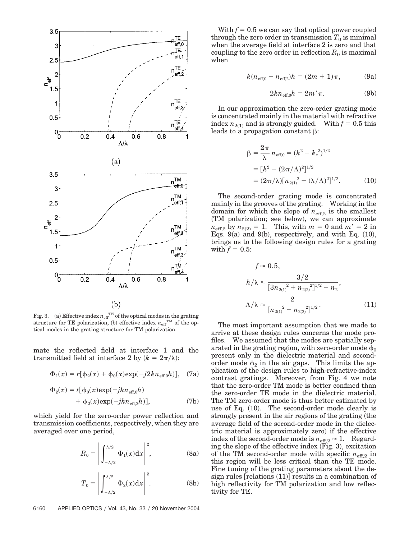

Fig. 3. (a) Effective index  $n_{\text{eff}}^{\text{TE}}$  of the optical modes in the grating structure for TE polarization, (b) effective index  $n_{\text{eff}}^{\text{TM}}$  of the optical modes in the grating structure for TM polarization.

mate the reflected field at interface 1 and the transmitted field at interface 2 by  $(k = 2\pi/\lambda)$ :

$$
\Phi_1(x) = r[\phi_2(x) + \phi_0(x) \exp(-j2kn_{\text{eff},0}h)], \quad (7a)
$$

$$
\Phi_2(x) = t[\phi_0(x) \exp(-jkn_{\text{eff},0}h) + \phi_2(x) \exp(-jkn_{\text{eff},2}h)], \tag{7b}
$$

which yield for the zero-order power reflection and transmission coefficients, respectively, when they are averaged over one period,

$$
R_0 = \left| \int_{-\Lambda/2}^{\Lambda/2} \Phi_1(x) dx \right|^2, \tag{8a}
$$

$$
T_0 = \left| \int_{-\Lambda/2}^{\Lambda/2} \Phi_2(x) dx \right|^2.
$$
 (8b)

With  $f = 0.5$  we can say that optical power coupled through the zero order in transmission  $T_0$  is minimal when the average field at interface 2 is zero and that coupling to the zero order in reflection  $R_0$  is maximal when

$$
k(n_{\text{eff},0} - n_{\text{eff},2})h = (2m + 1)\pi, \tag{9a}
$$

$$
2kn_{\text{eff},0}h = 2m'\pi. \tag{9b}
$$

In our approximation the zero-order grating mode is concentrated mainly in the material with refractive index  $n_{2(1)}$  and is strongly guided. With  $f = 0.5$  this leads to a propagation constant  $\beta$ :

$$
\beta = \frac{2\pi}{\lambda} n_{\text{eff},0} = (k^2 - k_x^2)^{1/2}
$$
  
= 
$$
[k^2 - (2\pi/\Lambda)^2]^{1/2}
$$
  
= 
$$
(2\pi/\lambda)[n_{2(1)}^2 - (\lambda/\Lambda)^2]^{1/2}.
$$
 (10)

The second-order grating mode is concentrated mainly in the grooves of the grating. Working in the domain for which the slope of  $n_{\text{eff},2}$  is the smallest (TM polarization; see below), we can approximate  $n_{\text{eff},2}$  by  $n_{2(2)} = 1$ . This, with  $m = 0$  and  $m' = 2$  in Eqs. 9(a) and 9(b), respectively, and with Eq.  $(10)$ , brings us to the following design rules for a grating with  $f = 0.5$ :

$$
f \approx 0.5,
$$
  
\n
$$
h/\lambda \approx \frac{3/2}{[3n_{2(1)}^2 + n_{2(2)}^2]^{1/2} - n_2},
$$
  
\n
$$
\Lambda/\lambda \approx \frac{2}{[n_{2(1)}^2 - n_{2(2)}^2]^{1/2}}.
$$
\n(11)

The most important assumption that we made to arrive at these design rules concerns the mode profiles. We assumed that the modes are spatially separated in the grating region, with zero-order mode  $\phi_0$ present only in the dielectric material and secondorder mode  $\phi_2$  in the air gaps. This limits the application of the design rules to high-refractive-index contrast gratings. Moreover, from Fig. 4 we note that the zero-order TM mode is better confined than the zero-order TE mode in the dielectric material. The TM zero-order mode is thus better estimated by use of Eq.  $(10)$ . The second-order mode clearly is strongly present in the air regions of the grating (the average field of the second-order mode in the dielectric material is approximately zero) if the effective index of the second-order mode is  $n_{\text{eff},2} \approx 1$ . Regarding the slope of the effective index (Fig. 3), excitation of the TM second-order mode with specific  $n_{\text{eff}2}$  in this region will be less critical than the TE mode. Fine tuning of the grating parameters about the design rules  $[relations (11)]$  results in a combination of high reflectivity for TM polarization and low reflectivity for TE.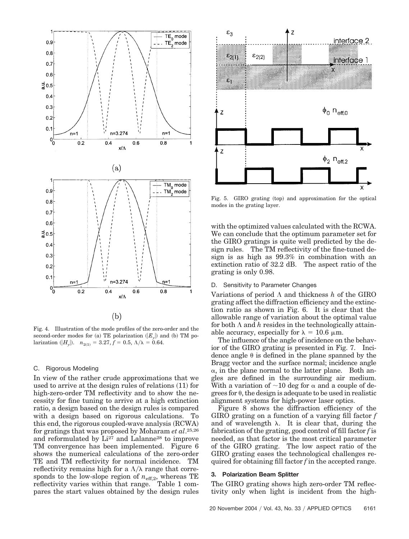

Fig. 4. Illustration of the mode profiles of the zero-order and the second-order modes for (a) TE polarization  $(E_y)$  and (b) TM polarization  $(H_y)$ .  $n_{2(1)} = 3.27, f = 0.5, \Lambda/\lambda = 0.64$ .

#### C. Rigorous Modeling

In view of the rather crude approximations that we used to arrive at the design rules of relations (11) for high-zero-order TM reflectivity and to show the necessity for fine tuning to arrive at a high extinction ratio, a design based on the design rules is compared with a design based on rigorous calculations. To this end, the rigorous coupled-wave analysis (RCWA) for gratings that was proposed by Moharam *et al*.25,26 and reformulated by Li<sup>27</sup> and Lalanne<sup>28</sup> to improve TM convergence has been implemented. Figure 6 shows the numerical calculations of the zero-order TE and TM reflectivity for normal incidence. TM reflectivity remains high for a  $\Lambda/\lambda$  range that corresponds to the low-slope region of  $n_{\text{eff,2}}$ , whereas TE reflectivity varies within that range. Table 1 compares the start values obtained by the design rules



Fig. 5. GIRO grating (top) and approximation for the optical modes in the grating layer.

with the optimized values calculated with the RCWA. We can conclude that the optimum parameter set for the GIRO gratings is quite well predicted by the design rules. The TM reflectivity of the fine-tuned design is as high as 99.3% in combination with an extinction ratio of 32.2 dB. The aspect ratio of the grating is only 0.98.

#### D. Sensitivity to Parameter Changes

Variations of period  $\Lambda$  and thickness  $h$  of the GIRO grating affect the diffraction efficiency and the extinction ratio as shown in Fig. 6. It is clear that the allowable range of variation about the optimal value for both  $\Lambda$  and  $h$  resides in the technologically attainable accuracy, especially for  $\lambda = 10.6 \mu m$ .

The influence of the angle of incidence on the behavior of the GIRO grating is presented in Fig. 7. Incidence angle  $\theta$  is defined in the plane spanned by the Bragg vector and the surface normal; incidence angle  $\alpha$ , in the plane normal to the latter plane. Both angles are defined in the surrounding air medium. With a variation of  $\sim$ 10 deg for  $\alpha$  and a couple of degrees for  $\theta$ , the design is adequate to be used in realistic alignment systems for high-power laser optics.

Figure 8 shows the diffraction efficiency of the GIRO grating on a function of a varying fill factor *f* and of wavelength  $\lambda$ . It is clear that, during the fabrication of the grating, good control of fill factor *f* is needed, as that factor is the most critical parameter of the GIRO grating. The low aspect ratio of the GIRO grating eases the technological challenges required for obtaining fill factor *f* in the accepted range.

## **3. Polarization Beam Splitter**

The GIRO grating shows high zero-order TM reflectivity only when light is incident from the high-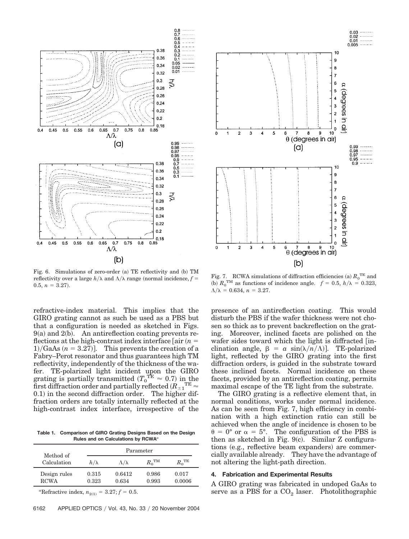

Fig. 6. Simulations of zero-order (a) TE reflectivity and (b) TM reflectivity over a large  $h/\lambda$  and  $\Lambda/\lambda$  range (normal incidence,  $f =$  $0.5, n = 3.27$ .

refractive-index material. This implies that the GIRO grating cannot as such be used as a PBS but that a configuration is needed as sketched in Figs.  $9(a)$  and  $2(b)$ . An antireflection coating prevents reflections at the high-contrast index interface  $\lceil \text{air} \rceil$  $1)/\text{GaAs}$   $(n = 3.27)$ ]. This prevents the creation of a Fabry–Perot resonator and thus guarantees high TM reflectivity, independently of the thickness of the wafer. TE-polarized light incident upon the GIRO grating is partially transmitted  $(T_0^{\text{TE}} \approx 0.7)$  in the first diffraction order and partially reflected ( $\dot{R}_{\pm1}^{\phantom{\pm1}\mathrm{TE}}$   $\approx$ 0.1) in the second diffraction order. The higher diffraction orders are totally internally reflected at the high-contrast index interface, irrespective of the

**Table 1. Comparison of GIRO Grating Designs Based on the Design Rules and on Calculations by RCWA***<sup>a</sup>*

| Method of                   |                | Parameter         |                        |                  |  |
|-----------------------------|----------------|-------------------|------------------------|------------------|--|
| Calculation                 | $h/\lambda$    | $\Lambda/\lambda$ | $R_{\rm o}{}^{\rm TM}$ | ${R_0}^{\rm TE}$ |  |
| Design rules<br><b>RCWA</b> | 0.315<br>0.323 | 0.6412<br>0.634   | 0.986<br>0.993         | 0.017<br>0.0006  |  |

*a*Refractive index,  $n_{2(1)} = 3.27; f = 0.5$ .



Fig. 7. RCWA simulations of diffraction efficiencies (a)  $R_0^{\text{TE}}$  and (b)  $R_0^{\text{TM}}$  as functions of incidence angle.  $f = 0.5$ ,  $h/\lambda = 0.323$ ,  $\Lambda/\lambda = 0.634, n = 3.27.$ 

presence of an antireflection coating. This would disturb the PBS if the wafer thickness were not chosen so thick as to prevent backreflection on the grating. Moreover, inclined facets are polished on the wafer sides toward which the light is diffracted [inclination angle,  $\beta = a \sin(\lambda/n/\Lambda)$ . TE-polarized light, reflected by the GIRO grating into the first diffraction orders, is guided in the substrate toward these inclined facets. Normal incidence on these facets, provided by an antireflection coating, permits maximal escape of the TE light from the substrate.

The GIRO grating is a reflective element that, in normal conditions, works under normal incidence. As can be seen from Fig. 7, high efficiency in combination with a high extinction ratio can still be achieved when the angle of incidence is chosen to be  $\theta = 0^{\circ}$  or  $\alpha = 5^{\circ}$ . The configuration of the PBS is then as sketched in Fig.  $9(c)$ . Similar Z configurations (e.g., reflective beam expanders) are commercially available already. They have the advantage of not altering the light-path direction.

## **4. Fabrication and Experimental Results**

A GIRO grating was fabricated in undoped GaAs to serve as a PBS for a  $CO<sub>2</sub>$  laser. Photolithographic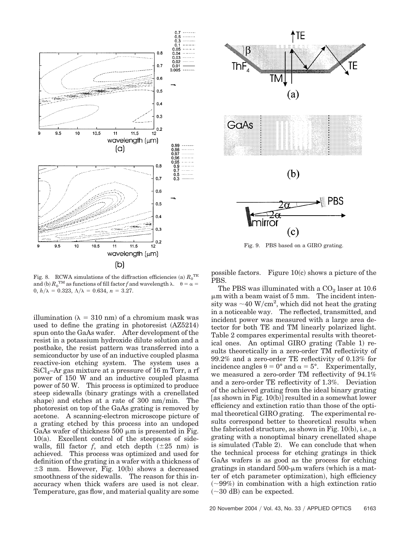

Fig. 8. RCWA simulations of the diffraction efficiencies (a)  $R_0^{\text{TE}}$ and (b)  $R_0^{\text{TM}}$  as functions of fill factor *f* and wavelength  $\lambda$ .  $\theta = \alpha =$  $0, h/\lambda = 0.323, \Lambda/\lambda = 0.634, n = 3.27.$ 

illumination ( $\lambda = 310$  nm) of a chromium mask was used to define the grating in photoresist  $(AZ5214)$ spun onto the GaAs wafer. After development of the resist in a potassium hydroxide dilute solution and a postbake, the resist pattern was transferred into a semiconductor by use of an inductive coupled plasma reactive-ion etching system. The system uses a  $SiCl<sub>4</sub>–Ar$  gas mixture at a pressure of 16 m Torr, a rf power of 150 W and an inductive coupled plasma power of 50 W. This process is optimized to produce steep sidewalls (binary gratings with a crenellated shape) and etches at a rate of 300 nm/min. The photoresist on top of the GaAs grating is removed by acetone. A scanning-electron microscope picture of a grating etched by this process into an undoped GaAs wafer of thickness  $500 \mu m$  is presented in Fig.  $10(a)$ . Excellent control of the steepness of sidewalls, fill factor  $f$ , and etch depth  $(\pm 25 \text{ nm})$  is achieved. This process was optimized and used for definition of the grating in a wafer with a thickness of  $\pm 3$  mm. However, Fig. 10(b) shows a decreased smoothness of the sidewalls. The reason for this inaccuracy when thick wafers are used is not clear. Temperature, gas flow, and material quality are some



Fig. 9. PBS based on a GIRO grating.

possible factors. Figure  $10(c)$  shows a picture of the PBS.

The PBS was illuminated with a  $CO<sub>2</sub>$  laser at 10.6  $\mu$ m with a beam waist of 5 mm. The incident intensity was  $\sim$  40 W/cm<sup>2</sup>, which did not heat the grating in a noticeable way. The reflected, transmitted, and incident power was measured with a large area detector for both TE and TM linearly polarized light. Table 2 compares experimental results with theoretical ones. An optimal GIRO grating (Table 1) results theoretically in a zero-order TM reflectivity of 99.2% and a zero-order TE reflectivity of 0.13% for incidence angles  $\theta = 0^{\circ}$  and  $\alpha = 5^{\circ}$ . Experimentally, we measured a zero-order TM reflectivity of 94.1% and a zero-order TE reflectivity of 1.3%. Deviation of the achieved grating from the ideal binary grating  $[$ as shown in Fig. 10(b)] resulted in a somewhat lower efficiency and extinction ratio than those of the optimal theoretical GIRO grating. The experimental results correspond better to theoretical results when the fabricated structure, as shown in Fig.  $10(b)$ , i.e., a grating with a nonoptimal binary crenellated shape is simulated (Table 2). We can conclude that when the technical process for etching gratings in thick GaAs wafers is as good as the process for etching gratings in standard  $500 - \mu m$  wafers (which is a matter of etch parameter optimization), high efficiency  $(\sim)99\%)$  in combination with a high extinction ratio  $(\sim 30$  dB) can be expected.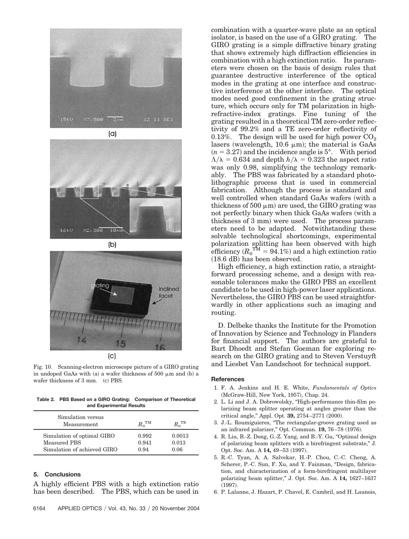









Fig. 10. Scanning-electron microscope picture of a GIRO grating in undoped GaAs with (a) a wafer thickness of 500  $\mu$ m and (b) a wafer thickness of 3 mm. (c) PBS.

**Table 2. PBS Based on a GIRO Grating: Comparison of Theoretical and Experimental Results**

| Simulation versus<br>Measurement | $R_0^{\text{TM}}$ | TЕ     |
|----------------------------------|-------------------|--------|
| Simulation of optimal GIRO       | 0.992             | 0.0013 |
| Measured PBS                     | 0.941             | 0.013  |
| Simulation of achieved GIRO      | 0.94              | 0.06   |

## **5. Conclusions**

A highly efficient PBS with a high extinction ratio has been described. The PBS, which can be used in

combination with a high extinction ratio. Its parameters were chosen on the basis of design rules that guarantee destructive interference of the optical modes in the grating at one interface and constructive interference at the other interface. The optical modes need good confinement in the grating structure, which occurs only for TM polarization in highrefractive-index gratings. Fine tuning of the grating resulted in a theoretical TM zero-order reflectivity of 99.2% and a TE zero-order reflectivity of 0.13%. The design will be used for high power  $CO<sub>2</sub>$ lasers (wavelength,  $10.6 \mu m$ ); the material is GaAs  $(n = 3.27)$  and the incidence angle is  $5^\circ$ . With period  $\Lambda/\lambda = 0.634$  and depth  $h/\lambda = 0.323$  the aspect ratio was only 0.98, simplifying the technology remarkably. The PBS was fabricated by a standard photolithographic process that is used in commercial fabrication. Although the process is standard and well controlled when standard GaAs wafers (with a thickness of 500  $\mu$ m) are used, the GIRO grating was not perfectly binary when thick GaAs wafers (with a thickness of 3 mm) were used. The process parameters need to be adapted. Notwithstanding these solvable technological shortcomings, experimental polarization splitting has been observed with high efficiency  $(R_0^{\text{TM}} = 94.1\%)$  and a high extinction ratio  $(18.6 \text{ dB})$  has been observed. High efficiency, a high extinction ratio, a straight-

forward processing scheme, and a design with reasonable tolerances make the GIRO PBS an excellent candidate to be used in high-power laser applications. Nevertheless, the GIRO PBS can be used straightforwardly in other applications such as imaging and routing.

combination with a quarter-wave plate as an optical isolator, is based on the use of a GIRO grating. The GIRO grating is a simple diffractive binary grating that shows extremely high diffraction efficiencies in

D. Delbeke thanks the Institute for the Promotion of Innovation by Science and Technology in Flanders for financial support. The authors are grateful to Bart Dhoedt and Stefan Goeman for exploring research on the GIRO grating and to Steven Verstuyft and Liesbet Van Landschoot for technical support.

## **References**

- 1. F. A. Jenkins and H. E. White, *Fundamentals of Optics* (McGraw-Hill, New York, 1957), Chap. 24.
- 2. L. Li and J. A. Dobrowolsky, "High-performance thin-film polarizing beam splitter operating at angles greater than the critical angle," Appl. Opt. **39,** 2754–2771 (2000).
- 3. J.-L. Roumiguieres, "The rectangular-groove grating used as an infrared polarizer," Opt. Commun. **19,** 76–78 (1976).
- 4. R. Liu, B.-Z. Dong, G.-Z. Yang, and B.-Y. Gu, "Optimal design of polarizing beam splitters with a birefringent substrate," J. Opt. Soc. Am. A **14,** 49–53 (1997).
- 5. R.-C. Tyan, A. A. Salvekar, H.-P. Chou, C.-C. Cheng, A. Scherer, P.-C. Sun, F. Xu, and Y. Fainman, "Design, fabrication, and characterization of a form-birefringent multilayer polarizing beam splitter," J. Opt. Soc. Am. A **14,** 1627–1637  $(1997).$
- 6. P. Lalanne, J. Hazart, P. Chavel, E. Cambril, and H. Launois,